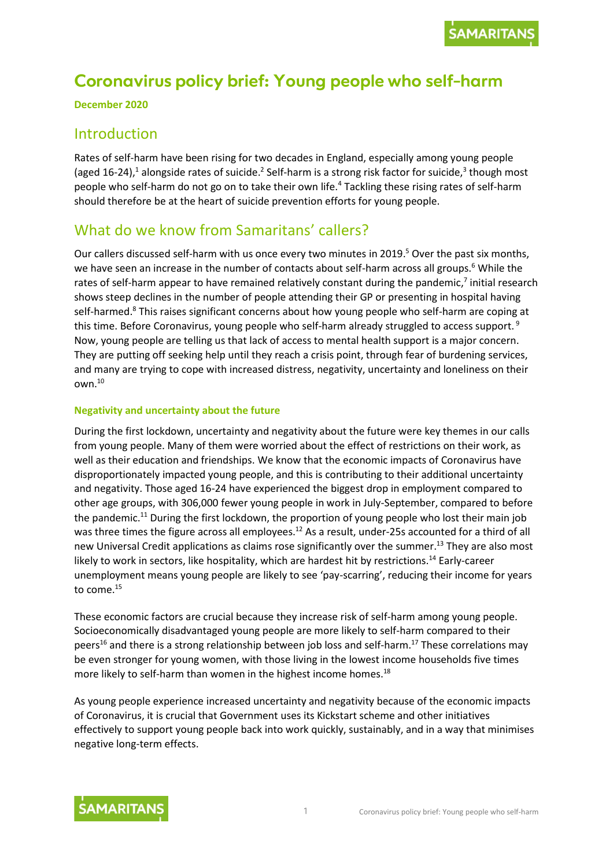# **Coronavirus policy brief: Young people who self-harm**

**December 2020**

### Introduction

Rates of self-harm have been rising for two decades in England, especially among young people (aged 16-24),<sup>1</sup> alongside rates of suicide.<sup>2</sup> Self-harm is a strong risk factor for suicide,<sup>3</sup> though most people who self-harm do not go on to take their own life.<sup>4</sup> Tackling these rising rates of self-harm should therefore be at the heart of suicide prevention efforts for young people.

### What do we know from Samaritans' callers?

Our callers discussed self-harm with us once every two minutes in 2019. <sup>5</sup> Over the past six months, we have seen an increase in the number of contacts about self-harm across all groups.<sup>6</sup> While the rates of self-harm appear to have remained relatively constant during the pandemic,<sup>7</sup> initial research shows steep declines in the number of people attending their GP or presenting in hospital having self-harmed.<sup>8</sup> This raises significant concerns about how young people who self-harm are coping at this time. Before Coronavirus, young people who self-harm already struggled to access support.<sup>9</sup> Now, young people are telling us that lack of access to mental health support is a major concern. They are putting off seeking help until they reach a crisis point, through fear of burdening services, and many are trying to cope with increased distress, negativity, uncertainty and loneliness on their own.<sup>10</sup>

#### **Negativity and uncertainty about the future**

During the first lockdown, uncertainty and negativity about the future were key themes in our calls from young people. Many of them were worried about the effect of restrictions on their work, as well as their education and friendships. We know that the economic impacts of Coronavirus have disproportionately impacted young people, and this is contributing to their additional uncertainty and negativity. Those aged 16-24 have experienced the biggest drop in employment compared to other age groups, with 306,000 fewer young people in work in July-September, compared to before the pandemic.<sup>11</sup> During the first lockdown, the proportion of young people who lost their main job was three times the figure across all employees.<sup>12</sup> As a result, under-25s accounted for a third of all new Universal Credit applications as claims rose significantly over the summer. <sup>13</sup> They are also most likely to work in sectors, like hospitality, which are hardest hit by restrictions.<sup>14</sup> Early-career unemployment means young people are likely to see 'pay-scarring', reducing their income for years to come.<sup>15</sup>

These economic factors are crucial because they increase risk of self-harm among young people. Socioeconomically disadvantaged young people are more likely to self-harm compared to their peers<sup>16</sup> and there is a strong relationship between job loss and self-harm.<sup>17</sup> These correlations may be even stronger for young women, with those living in the lowest income households five times more likely to self-harm than women in the highest income homes.<sup>18</sup>

As young people experience increased uncertainty and negativity because of the economic impacts of Coronavirus, it is crucial that Government uses its Kickstart scheme and other initiatives effectively to support young people back into work quickly, sustainably, and in a way that minimises negative long-term effects.

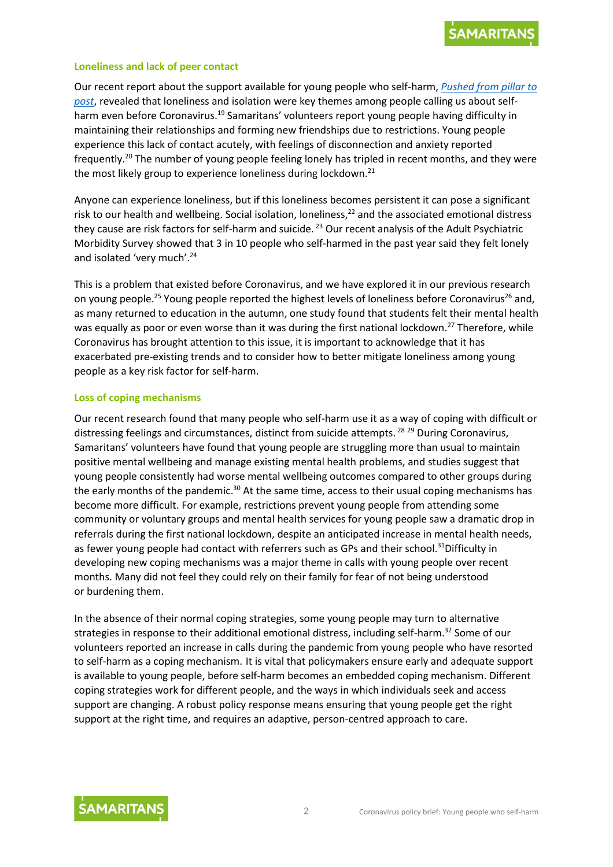

#### **Loneliness and lack of peer contact**

Our recent report about the support available for young people who self-harm, *[Pushed from pillar to](https://media.samaritans.org/documents/Samaritans_-_Pushed_from_pillar_to_post_web.pdf)  [post](https://media.samaritans.org/documents/Samaritans_-_Pushed_from_pillar_to_post_web.pdf)*, revealed that loneliness and isolation were key themes among people calling us about selfharm even before Coronavirus.<sup>19</sup> Samaritans' volunteers report young people having difficulty in maintaining their relationships and forming new friendships due to restrictions. Young people experience this lack of contact acutely, with feelings of disconnection and anxiety reported frequently.<sup>20</sup> The number of young people feeling lonely has tripled in recent months, and they were the most likely group to experience loneliness during lockdown.<sup>21</sup>

Anyone can experience loneliness, but if this loneliness becomes persistent it can pose a significant risk to our health and wellbeing. Social isolation, loneliness, <sup>22</sup> and the associated emotional distress they cause are risk factors for self-harm and suicide. <sup>23</sup> Our recent analysis of the Adult Psychiatric Morbidity Survey showed that 3 in 10 people who self-harmed in the past year said they felt lonely and isolated 'very much'.<sup>24</sup>

This is a problem that existed before Coronavirus, and we have explored it in our previous research on young people.<sup>25</sup> Young people reported the highest levels of loneliness before Coronavirus<sup>26</sup> and, as many returned to education in the autumn, one study found that students felt their mental health was equally as poor or even worse than it was during the first national lockdown.<sup>27</sup> Therefore, while Coronavirus has brought attention to this issue, it is important to acknowledge that it has exacerbated pre-existing trends and to consider how to better mitigate loneliness among young people as a key risk factor for self-harm.

#### **Loss of coping mechanisms**

Our recent research found that many people who self-harm use it as a way of coping with difficult or distressing feelings and circumstances, distinct from suicide attempts.<sup>28 29</sup> During Coronavirus, Samaritans' volunteers have found that young people are struggling more than usual to maintain positive mental wellbeing and manage existing mental health problems, and studies suggest that young people consistently had worse mental wellbeing outcomes compared to other groups during the early months of the pandemic.<sup>30</sup> At the same time, access to their usual coping mechanisms has become more difficult. For example, restrictions prevent young people from attending some community or voluntary groups and mental health services for young people saw a dramatic drop in referrals during the first national lockdown, despite an anticipated increase in mental health needs, as fewer young people had contact with referrers such as GPs and their school.<sup>31</sup>Difficulty in developing new coping mechanisms was a major theme in calls with young people over recent months. Many did not feel they could rely on their family for fear of not being understood or burdening them.

In the absence of their normal coping strategies, some young people may turn to alternative strategies in response to their additional emotional distress, including self-harm.<sup>32</sup> Some of our volunteers reported an increase in calls during the pandemic from young people who have resorted to self-harm as a coping mechanism. It is vital that policymakers ensure early and adequate support is available to young people, before self-harm becomes an embedded coping mechanism. Different coping strategies work for different people, and the ways in which individuals seek and access support are changing. A robust policy response means ensuring that young people get the right support at the right time, and requires an adaptive, person-centred approach to care.

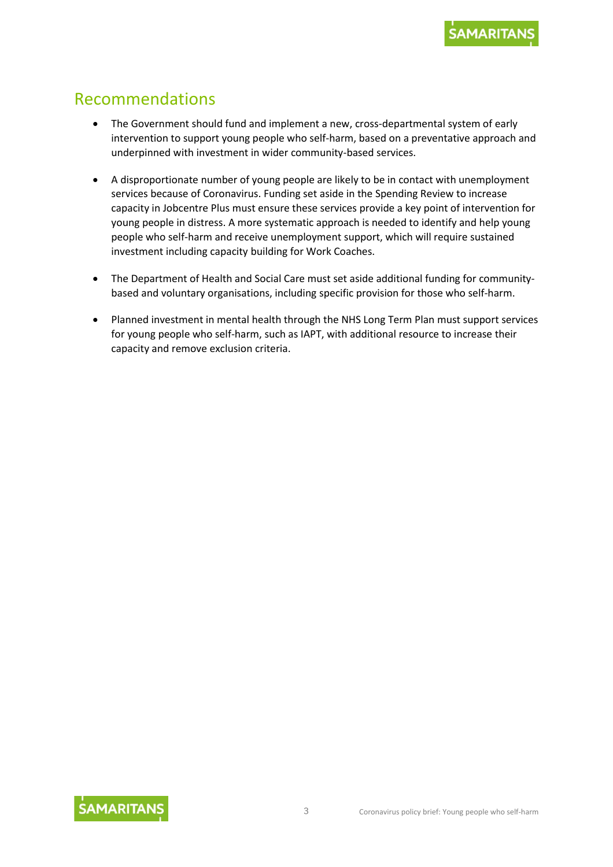## Recommendations

- The Government should fund and implement a new, cross-departmental system of early intervention to support young people who self-harm, based on a preventative approach and underpinned with investment in wider community-based services.
- A disproportionate number of young people are likely to be in contact with unemployment services because of Coronavirus. Funding set aside in the Spending Review to increase capacity in Jobcentre Plus must ensure these services provide a key point of intervention for young people in distress. A more systematic approach is needed to identify and help young people who self-harm and receive unemployment support, which will require sustained investment including capacity building for Work Coaches.
- The Department of Health and Social Care must set aside additional funding for communitybased and voluntary organisations, including specific provision for those who self-harm.
- Planned investment in mental health through the NHS Long Term Plan must support services for young people who self-harm, such as IAPT, with additional resource to increase their capacity and remove exclusion criteria.

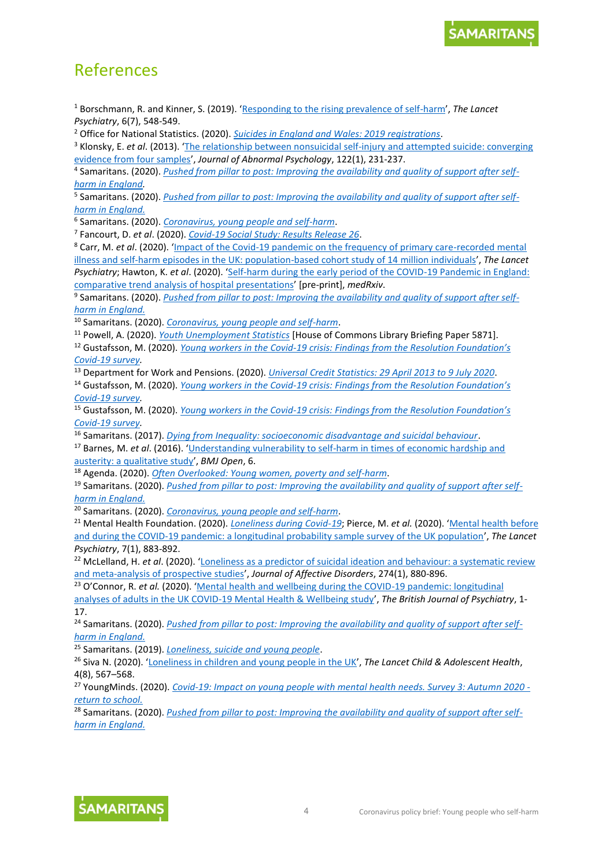## References

<sup>1</sup> Borschmann, R. and Kinner, S. (2019). '[Responding to the rising prevalence of self-harm](https://www.thelancet.com/journals/lanpsy/article/PIIS2215-0366(19)30210-X/fulltext)', *The Lancet Psychiatry*, 6(7), 548-549.

<sup>2</sup> Office for National Statistics. (2020). *[Suicides in England and Wales: 2019 registrations](https://www.ons.gov.uk/peoplepopulationandcommunity/birthsdeathsandmarriages/deaths/bulletins/suicidesintheunitedkingdom/2019registrations#suicide-patterns-by-age)*.

<sup>3</sup> Klonsky, E. *et al*. (2013). '[The relationship between nonsuicidal self-injury and attempted suicide: converging](https://pubmed.ncbi.nlm.nih.gov/23067259/)  [evidence from four samples](https://pubmed.ncbi.nlm.nih.gov/23067259/)', *Journal of Abnormal Psychology*, 122(1), 231-237.

4 Samaritans. (2020). *[Pushed from pillar to post: Improving the availability and quality of support after self](https://media.samaritans.org/documents/Samaritans_-_Pushed_from_pillar_to_post_web.pdf)[harm in England.](https://media.samaritans.org/documents/Samaritans_-_Pushed_from_pillar_to_post_web.pdf)*

5 Samaritans. (2020). *[Pushed from pillar to post: Improving the availability and quality of support after self](https://media.samaritans.org/documents/Samaritans_-_Pushed_from_pillar_to_post_web.pdf)[harm in England.](https://media.samaritans.org/documents/Samaritans_-_Pushed_from_pillar_to_post_web.pdf)*

6 Samaritans. (2020). *[Coronavirus, young people and self-harm](https://www.samaritans.org/about-samaritans/research-policy/understanding-our-callers-during-covid-19-pandemic/coronavirus-young-people-and-self-harm/)*.

7 Fancourt, D. *et al*. (2020). *[Covid-19 Social Study: Results Release 26](https://b6bdcb03-332c-4ff9-8b9d-28f9c957493a.filesusr.com/ugd/3d9db5_29a5ae83bcd74eb8a238f75fb2d50735.pdf)*.

<sup>8</sup> Carr, M. *et al*. (2020). '[Impact of the Covid-19 pandemic on the frequency of primary care-recorded mental](https://www.thelancet.com/journals/lanpsy/article/PIIS2215-0366(20)30528-9/fulltext)  [illness and self-harm episodes in the UK: population-based cohort study of 14](https://www.thelancet.com/journals/lanpsy/article/PIIS2215-0366(20)30528-9/fulltext) million individuals', *The Lancet Psychiatry*; Hawton, K. *et al*. (2020). '[Self-harm during the early period of the COVID-19 Pandemic in England:](https://www.medrxiv.org/content/10.1101/2020.11.25.20238030v1)  [comparative trend analysis of hospital presentations](https://www.medrxiv.org/content/10.1101/2020.11.25.20238030v1)' [pre-print], *medRxiv*.

9 Samaritans. (2020). *[Pushed from pillar to post: Improving the availability and quality of support after self](https://media.samaritans.org/documents/Samaritans_-_Pushed_from_pillar_to_post_web.pdf)[harm in England.](https://media.samaritans.org/documents/Samaritans_-_Pushed_from_pillar_to_post_web.pdf)*

<sup>10</sup> Samaritans. (2020). *[Coronavirus, young people and self-harm](https://www.samaritans.org/about-samaritans/research-policy/understanding-our-callers-during-covid-19-pandemic/coronavirus-young-people-and-self-harm/)*.

<sup>11</sup> Powell, A. (2020). *[Youth Unemployment Statistics](https://commonslibrary.parliament.uk/research-briefings/sn05871/)* [House of Commons Library Briefing Paper 5871]*.* 

<sup>12</sup> Gustafsson, M. (2020). *Young workers in the Covid-19 crisis: Findings [from the Resolution Foundation's](https://www.resolutionfoundation.org/app/uploads/2020/05/Young-workers-in-the-coronavirus-crisis.pdf)  [Covid-19](https://www.resolutionfoundation.org/app/uploads/2020/05/Young-workers-in-the-coronavirus-crisis.pdf) survey.*

<sup>13</sup> Department for Work and Pensions. (2020). *[Universal Credit Statistics: 29 April 2013 to 9 July 2020](https://www.gov.uk/government/publications/universal-credit-statistics-29-april-2013-to-9-july-2020/universal-credit-statistics-29-april-2013-to-9-july-2020)*.

<sup>14</sup> Gustafsson, M. (2020). *Young workers in the Covid-[19 crisis: Findings from the Resolution Foundation's](https://www.resolutionfoundation.org/app/uploads/2020/05/Young-workers-in-the-coronavirus-crisis.pdf)  [Covid-19 survey.](https://www.resolutionfoundation.org/app/uploads/2020/05/Young-workers-in-the-coronavirus-crisis.pdf)*

<sup>15</sup> Gustafsson, M. (2020). *Young workers in the Covid-[19 crisis: Findings from the Resolution Foundation's](https://www.resolutionfoundation.org/app/uploads/2020/05/Young-workers-in-the-coronavirus-crisis.pdf)  [Covid-19 survey.](https://www.resolutionfoundation.org/app/uploads/2020/05/Young-workers-in-the-coronavirus-crisis.pdf)*

<sup>16</sup> Samaritans. (2017). *[Dying from Inequality: socioeconomic disadvantage and suicidal behaviour](https://media.samaritans.org/documents/Samaritans_Dying_from_inequality_report_-_summary.pdf)*.

<sup>17</sup> Barnes, M. *et al*. (2016). '[Understanding vulnerability to self-harm in times of economic hardship and](https://bmjopen.bmj.com/content/6/2/e010131.citation-tools)  [austerity: a qualitative study](https://bmjopen.bmj.com/content/6/2/e010131.citation-tools)', *BMJ Open*, 6.

<sup>18</sup> Agenda. (2020). *[Often Overlooked: Young women, poverty and self-harm](https://weareagenda.org/wp-content/uploads/2017/03/Often-Overlooked-Young-women-poverty-and-self-harm-2.pdf)*.

<sup>19</sup> Samaritans. (2020). *[Pushed from pillar to post: Improving the availability and quality of support after self](https://media.samaritans.org/documents/Samaritans_-_Pushed_from_pillar_to_post_web.pdf)[harm in England.](https://media.samaritans.org/documents/Samaritans_-_Pushed_from_pillar_to_post_web.pdf)*

<sup>20</sup> Samaritans. (2020). *[Coronavirus, young people and self-harm](https://www.samaritans.org/about-samaritans/research-policy/understanding-our-callers-during-covid-19-pandemic/coronavirus-young-people-and-self-harm/)*.

<sup>21</sup> Mental Health Foundation. (2020). *[Loneliness during Covid-19](https://www.mentalhealth.org.uk/coronavirus/loneliness-during-coronavirus)*; Pierce, M. *et al.* (2020). '[Mental health before](https://www.thelancet.com/journals/lanpsy/article/PIIS2215-0366(20)30308-4/fulltext#seccestitle140)  [and during the COVID-19 pandemic: a longitudinal probability sample survey of the UK population](https://www.thelancet.com/journals/lanpsy/article/PIIS2215-0366(20)30308-4/fulltext#seccestitle140)', *The Lancet Psychiatry*, 7(1), 883-892.

<sup>22</sup> McLelland, H. *et al*. (2020). '[Loneliness as a predictor of suicidal ideation and behaviour: a systematic review](https://www.sciencedirect.com/science/article/abs/pii/S0165032719329726?via%3Dihub)  [and meta-analysis of prospective studies](https://www.sciencedirect.com/science/article/abs/pii/S0165032719329726?via%3Dihub)', *Journal of Affective Disorders*, 274(1), 880-896.

<sup>23</sup> O'Connor, R. *et al.* (2020). 'Mental health and wellbeing during the COVID-19 pandemic: longitudinal

[analyses of adults in the UK COVID-19 Mental Health & Wellbeing study](https://www.cambridge.org/core/journals/the-british-journal-of-psychiatry/article/mental-health-and-wellbeing-during-the-covid19-pandemic-longitudinal-analyses-of-adults-in-the-uk-covid19-mental-health-wellbeing-study/F7321CBF45C749C788256CFE6964B00C)', *The British Journal of Psychiatry*, 1- 17.

<sup>24</sup> Samaritans. (2020). *[Pushed from pillar to post: Improving the availability and quality of support after self](https://media.samaritans.org/documents/Samaritans_-_Pushed_from_pillar_to_post_web.pdf)[harm in England.](https://media.samaritans.org/documents/Samaritans_-_Pushed_from_pillar_to_post_web.pdf)*

<sup>25</sup> Samaritans. (2019). *[Loneliness, suicide and young people](https://media.samaritans.org/documents/loneliness-suicide-young-people-jan-2019.pdf)*.

<sup>26</sup> Siva N. (2020). '[Loneliness in children and young people in the UK](https://doi.org/10.1016/S2352-4642(20)30213-3)', *The Lancet Child & Adolescent Health*, 4(8), 567–568.

<sup>27</sup> YoungMinds. (2020). *[Covid-19: Impact on young people with mental health needs. Survey 3: Autumn 2020](https://youngminds.org.uk/media/4119/youngminds-survey-with-young-people-returning-to-school-coronavirus-report-autumn-report.pdf)  [return to school.](https://youngminds.org.uk/media/4119/youngminds-survey-with-young-people-returning-to-school-coronavirus-report-autumn-report.pdf)*

<sup>28</sup> Samaritans. (2020). *[Pushed from pillar to post: Improving the availability and quality of support after self](https://media.samaritans.org/documents/Samaritans_-_Pushed_from_pillar_to_post_web.pdf)[harm in England.](https://media.samaritans.org/documents/Samaritans_-_Pushed_from_pillar_to_post_web.pdf)*